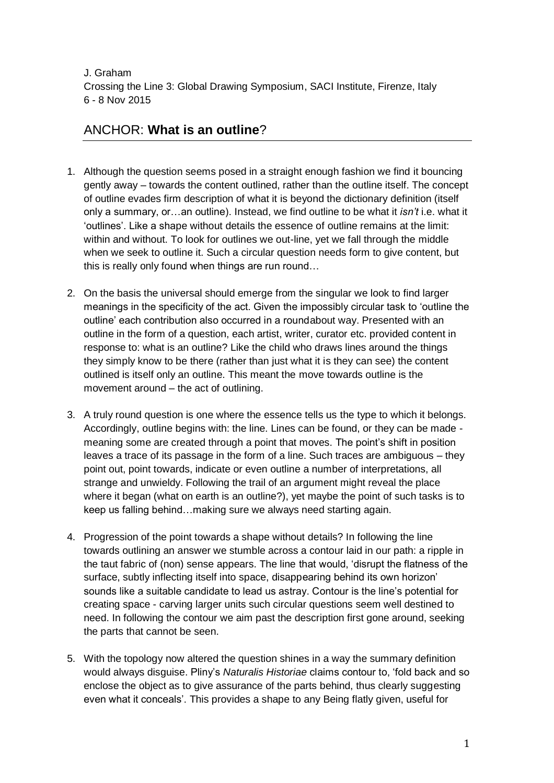J. Graham Crossing the Line 3: Global Drawing Symposium, SACI Institute, Firenze, Italy 6 - 8 Nov 2015

## ANCHOR: **What is an outline**?

- 1. Although the question seems posed in a straight enough fashion we find it bouncing gently away – towards the content outlined, rather than the outline itself. The concept of outline evades firm description of what it is beyond the dictionary definition (itself only a summary, or…an outline). Instead, we find outline to be what it *isn't* i.e. what it 'outlines'. Like a shape without details the essence of outline remains at the limit: within and without. To look for outlines we out-line, yet we fall through the middle when we seek to outline it. Such a circular question needs form to give content, but this is really only found when things are run round…
- 2. On the basis the universal should emerge from the singular we look to find larger meanings in the specificity of the act. Given the impossibly circular task to 'outline the outline' each contribution also occurred in a roundabout way. Presented with an outline in the form of a question, each artist, writer, curator etc. provided content in response to: what is an outline? Like the child who draws lines around the things they simply know to be there (rather than just what it is they can see) the content outlined is itself only an outline. This meant the move towards outline is the movement around – the act of outlining.
- 3. A truly round question is one where the essence tells us the type to which it belongs. Accordingly, outline begins with: the line. Lines can be found, or they can be made meaning some are created through a point that moves. The point's shift in position leaves a trace of its passage in the form of a line. Such traces are ambiguous – they point out, point towards, indicate or even outline a number of interpretations, all strange and unwieldy. Following the trail of an argument might reveal the place where it began (what on earth is an outline?), yet maybe the point of such tasks is to keep us falling behind…making sure we always need starting again.
- 4. Progression of the point towards a shape without details? In following the line towards outlining an answer we stumble across a contour laid in our path: a ripple in the taut fabric of (non) sense appears. The line that would, 'disrupt the flatness of the surface, subtly inflecting itself into space, disappearing behind its own horizon' sounds like a suitable candidate to lead us astray. Contour is the line's potential for creating space - carving larger units such circular questions seem well destined to need. In following the contour we aim past the description first gone around, seeking the parts that cannot be seen.
- 5. With the topology now altered the question shines in a way the summary definition would always disguise. Pliny's *Naturalis Historiae* claims contour to, 'fold back and so enclose the object as to give assurance of the parts behind, thus clearly suggesting even what it conceals'. This provides a shape to any Being flatly given, useful for